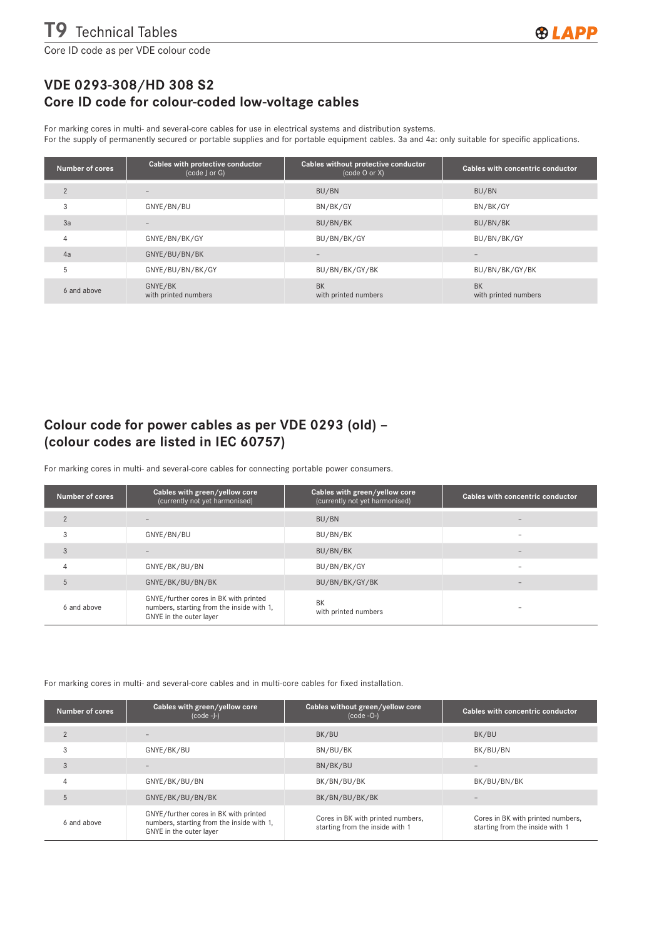Core ID code as per VDE colour code

## VDE 0293-308/HD 308 S2 Core ID code for colour-coded low-voltage cables

For marking cores in multi- and several-core cables for use in electrical systems and distribution systems.

For the supply of permanently secured or portable supplies and for portable equipment cables. 3a and 4a: only suitable for specific applications.

| Number of cores | Cables with protective conductor<br>(code J or G) | Cables without protective conductor<br>(code O or X) | Cables with concentric conductor  |
|-----------------|---------------------------------------------------|------------------------------------------------------|-----------------------------------|
| $\overline{2}$  |                                                   | BU/BN                                                | BU/BN                             |
| 3               | GNYE/BN/BU                                        | BN/BK/GY                                             | BN/BK/GY                          |
| 3a              |                                                   | BU/BN/BK                                             | BU/BN/BK                          |
| $\overline{4}$  | GNYE/BN/BK/GY                                     | BU/BN/BK/GY                                          | BU/BN/BK/GY                       |
| 4a              | GNYE/BU/BN/BK                                     |                                                      |                                   |
| 5               | GNYE/BU/BN/BK/GY                                  | BU/BN/BK/GY/BK                                       | BU/BN/BK/GY/BK                    |
| 6 and above     | GNYE/BK<br>with printed numbers                   | <b>BK</b><br>with printed numbers                    | <b>BK</b><br>with printed numbers |

## Colour code for power cables as per VDE 0293 (old) – (colour codes are listed in IEC 60757)

For marking cores in multi- and several-core cables for connecting portable power consumers.

| Number of cores | Cables with green/yellow core<br>(currently not yet harmonised)                                               | Cables with green/yellow core<br>(currently not yet harmonised) | Cables with concentric conductor |
|-----------------|---------------------------------------------------------------------------------------------------------------|-----------------------------------------------------------------|----------------------------------|
| $\overline{2}$  |                                                                                                               | BU/BN                                                           |                                  |
| 3               | GNYE/BN/BU                                                                                                    | BU/BN/BK                                                        |                                  |
| 3               |                                                                                                               | BU/BN/BK                                                        | $\overline{\phantom{a}}$         |
| 4               | GNYE/BK/BU/BN                                                                                                 | BU/BN/BK/GY                                                     |                                  |
| 5               | GNYE/BK/BU/BN/BK                                                                                              | BU/BN/BK/GY/BK                                                  |                                  |
| 6 and above     | GNYE/further cores in BK with printed<br>numbers, starting from the inside with 1,<br>GNYE in the outer layer | BK<br>with printed numbers                                      |                                  |

For marking cores in multi- and several-core cables and in multi-core cables for fixed installation.

| <b>Number of cores</b> | Cables with green/yellow core<br>$(code -J-)$                                                                 | Cables without green/yellow core<br>$(code -0-)$                     | Cables with concentric conductor                                     |
|------------------------|---------------------------------------------------------------------------------------------------------------|----------------------------------------------------------------------|----------------------------------------------------------------------|
| $\overline{2}$         |                                                                                                               | BK/BU                                                                | BK/BU                                                                |
| 3                      | GNYE/BK/BU                                                                                                    | BN/BU/BK                                                             | BK/BU/BN                                                             |
| 3                      |                                                                                                               | BN/BK/BU                                                             |                                                                      |
| $\overline{4}$         | GNYE/BK/BU/BN                                                                                                 | BK/BN/BU/BK                                                          | BK/BU/BN/BK                                                          |
| 5                      | GNYE/BK/BU/BN/BK                                                                                              | BK/BN/BU/BK/BK                                                       |                                                                      |
| 6 and above            | GNYE/further cores in BK with printed<br>numbers, starting from the inside with 1,<br>GNYE in the outer layer | Cores in BK with printed numbers,<br>starting from the inside with 1 | Cores in BK with printed numbers,<br>starting from the inside with 1 |